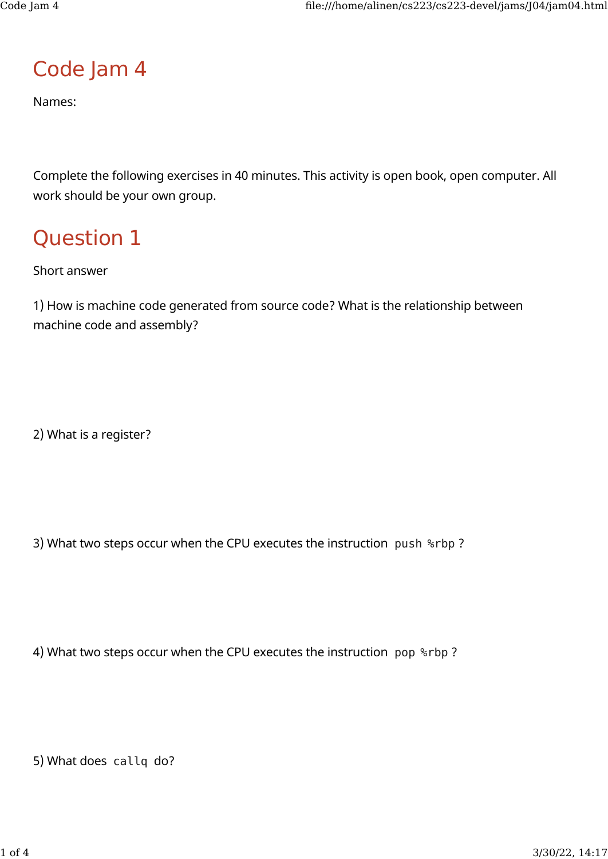## Code Jam 4

Names:

Complete the following exercises in 40 minutes. This activity is open book, open computer. All work should be your own group.

## Question 1

Short answer

1) How is machine code generated from source code? What is the relationship between machine code and assembly?

2) What is a register?

3) What two steps occur when the CPU executes the instruction push %rbp ?

4) What two steps occur when the CPU executes the instruction pop %rbp ?

5) What does callq do?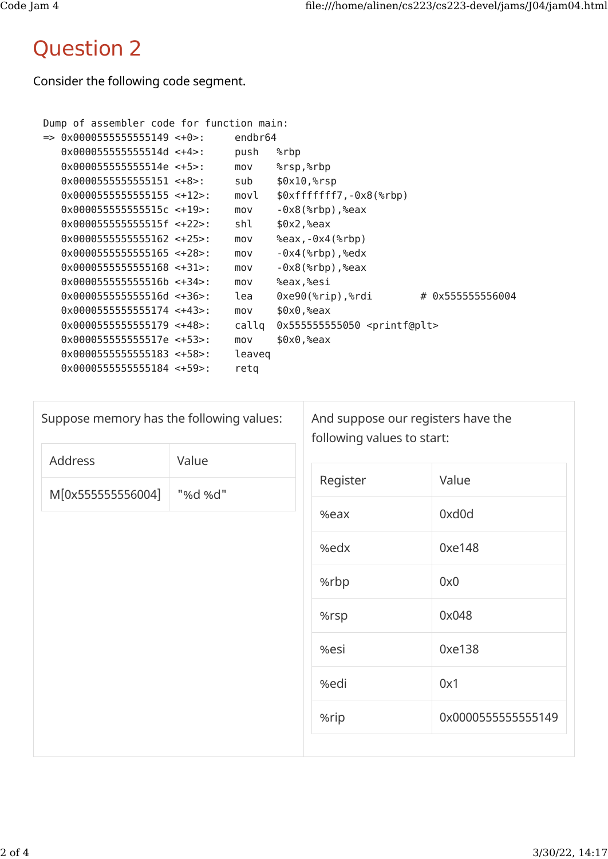## Question 2

Consider the following code segment.

```
Dump of assembler code for function main:
=> 0x0000555555555149 <+0>: endbr64
   0x000055555555514d <+4>: push %rbp
   0x000055555555514e <+5>: mov %rsp,%rbp
   0x0000555555555151 <+8>: sub $0x10,%rsp
   0x0000555555555155 <+12>: movl $0xfffffff7,-0x8(%rbp)
   0x000055555555515c <+19>: mov -0x8(%rbp),%eax
  0x00005555555555515f <+22>: shl $0x2,%eax
   0x0000555555555162 <+25>: mov %eax,-0x4(%rbp)
   0x0000555555555165 <+28>: mov -0x4(%rbp),%edx
   0x0000555555555168 <+31>: mov -0x8(%rbp),%eax
   0x000055555555516b <+34>: mov %eax,%esi
  0x00005555555555516d <+36>: lea 0xe90(%rip),%rdi # 0x5555555556004
   0x0000555555555174 <+43>: mov $0x0,%eax
   0x0000555555555179 <+48>: callq 0x555555555050 <printf@plt>
   0x000055555555517e <+53>: mov $0x0,%eax
   0x0000555555555183 <+58>: leaveq
   0x0000555555555184 <+59>: retq
```

| Suppose memory has the following values: |         | And suppose our registers have the<br>following values to start: |                    |
|------------------------------------------|---------|------------------------------------------------------------------|--------------------|
| Address                                  | Value   |                                                                  |                    |
| M[0x555555556004]                        | "%d %d" | Register                                                         | Value              |
|                                          |         | %eax                                                             | 0xd0d              |
|                                          |         | %edx                                                             | 0xe148             |
|                                          |         | %rbp                                                             | 0x0                |
|                                          |         | %rsp                                                             | 0x048              |
|                                          |         | %esi                                                             | 0xe138             |
|                                          |         | %edi                                                             | 0x1                |
|                                          |         | %rip                                                             | 0x0000555555555149 |
|                                          |         |                                                                  |                    |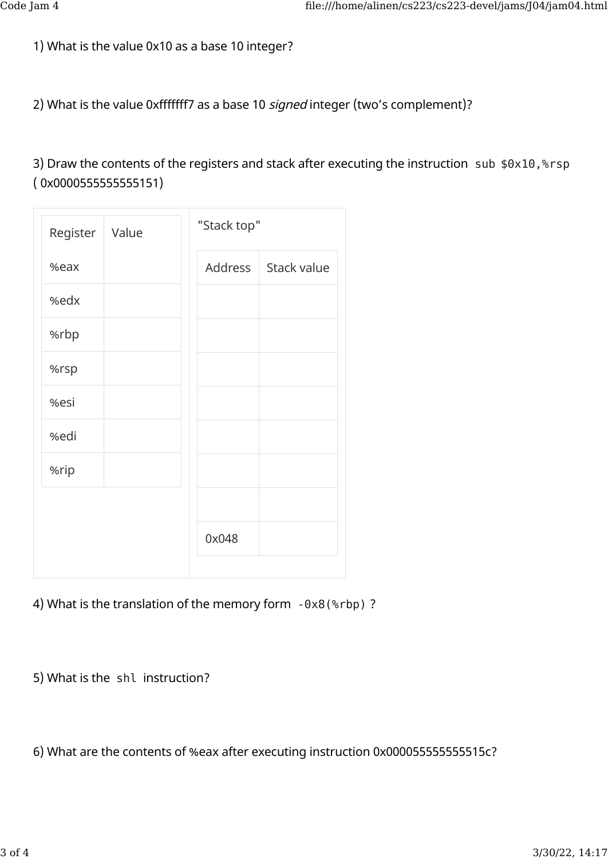1) What is the value 0x10 as a base 10 integer?

2) What is the value 0xfffffff7 as a base 10 signed integer (two's complement)?

3) Draw the contents of the registers and stack after executing the instruction sub \$0x10,%rsp ( 0x0000555555555151)

| Register | Value |         | "Stack top" |  |
|----------|-------|---------|-------------|--|
| %eax     |       | Address | Stack value |  |
| %edx     |       |         |             |  |
| %rbp     |       |         |             |  |
| %rsp     |       |         |             |  |
| %esi     |       |         |             |  |
| %edi     |       |         |             |  |
| %rip     |       |         |             |  |
|          |       |         |             |  |
|          |       | 0x048   |             |  |
|          |       |         |             |  |

4) What is the translation of the memory form -0x8(%rbp) ?

5) What is the shl instruction?

6) What are the contents of %eax after executing instruction 0x000055555555515c?